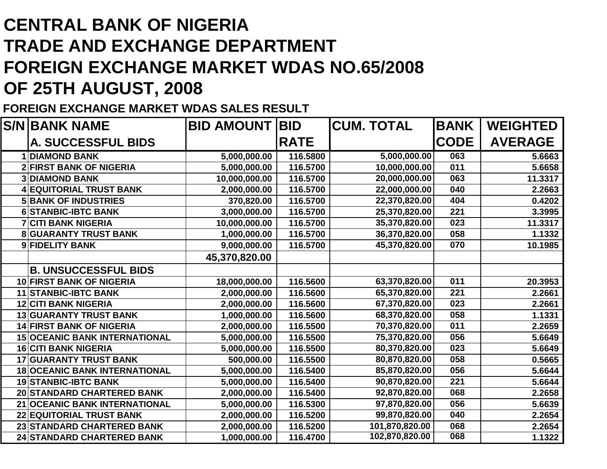## **CENTRAL BANK OF NIGERIA TRADE AND EXCHANGE DEPARTMENT FOREIGN EXCHANGE MARKET WDAS NO.65/2008OF 25TH AUGUST, 2008**

## **FOREIGN EXCHANGE MARKET WDAS SALES RESULT**

|   | <b>S/NIBANK NAME</b>                 | <b>BID AMOUNT</b> | <b>BID</b>  | <b>CUM. TOTAL</b> | <b>BANK</b> | <b>WEIGHTED</b> |
|---|--------------------------------------|-------------------|-------------|-------------------|-------------|-----------------|
|   | <b>A. SUCCESSFUL BIDS</b>            |                   | <b>RATE</b> |                   | <b>CODE</b> | <b>AVERAGE</b>  |
|   | <b>DIAMOND BANK</b>                  | 5,000,000.00      | 116.5800    | 5,000,000.00      | 063         | 5.6663          |
|   | <b>2 FIRST BANK OF NIGERIA</b>       | 5,000,000.00      | 116.5700    | 10,000,000.00     | 011         | 5.6658          |
|   | <b>3 DIAMOND BANK</b>                | 10,000,000.00     | 116.5700    | 20,000,000.00     | 063         | 11.3317         |
| 4 | <b>EQUITORIAL TRUST BANK</b>         | 2,000,000.00      | 116.5700    | 22,000,000.00     | 040         | 2.2663          |
|   | <b>5 BANK OF INDUSTRIES</b>          | 370,820.00        | 116.5700    | 22,370,820.00     | 404         | 0.4202          |
| 6 | <b>STANBIC-IBTC BANK</b>             | 3,000,000.00      | 116.5700    | 25,370,820.00     | 221         | 3.3995          |
|   | <b>CITI BANK NIGERIA</b>             | 10,000,000.00     | 116.5700    | 35,370,820.00     | 023         | 11.3317         |
|   | <b>GUARANTY TRUST BANK</b>           | 1,000,000.00      | 116.5700    | 36,370,820.00     | 058         | 1.1332          |
|   | 9 FIDELITY BANK                      | 9,000,000.00      | 116.5700    | 45,370,820.00     | 070         | 10.1985         |
|   |                                      | 45,370,820.00     |             |                   |             |                 |
|   | <b>B. UNSUCCESSFUL BIDS</b>          |                   |             |                   |             |                 |
|   | 10 FIRST BANK OF NIGERIA             | 18,000,000.00     | 116.5600    | 63,370,820.00     | 011         | 20.3953         |
|   | 11 STANBIC-IBTC BANK                 | 2,000,000.00      | 116.5600    | 65,370,820.00     | 221         | 2.2661          |
|   | <b>12 CITI BANK NIGERIA</b>          | 2,000,000.00      | 116.5600    | 67,370,820.00     | 023         | 2.2661          |
|   | <b>13 GUARANTY TRUST BANK</b>        | 1,000,000.00      | 116.5600    | 68,370,820.00     | 058         | 1.1331          |
|   | <b>14 FIRST BANK OF NIGERIA</b>      | 2,000,000.00      | 116.5500    | 70,370,820.00     | 011         | 2.2659          |
|   | <b>15 OCEANIC BANK INTERNATIONAL</b> | 5,000,000.00      | 116.5500    | 75,370,820.00     | 056         | 5.6649          |
|   | <b>16 CITI BANK NIGERIA</b>          | 5,000,000.00      | 116.5500    | 80,370,820.00     | 023         | 5.6649          |
|   | <b>17 GUARANTY TRUST BANK</b>        | 500,000.00        | 116.5500    | 80,870,820.00     | 058         | 0.5665          |
|   | <b>18 OCEANIC BANK INTERNATIONAL</b> | 5,000,000.00      | 116.5400    | 85,870,820.00     | 056         | 5.6644          |
|   | <b>19 STANBIC-IBTC BANK</b>          | 5,000,000.00      | 116.5400    | 90,870,820.00     | 221         | 5.6644          |
|   | <b>20 STANDARD CHARTERED BANK</b>    | 2,000,000.00      | 116.5400    | 92,870,820.00     | 068         | 2.2658          |
|   | 21 OCEANIC BANK INTERNATIONAL        | 5,000,000.00      | 116.5300    | 97,870,820.00     | 056         | 5.6639          |
|   | <b>22 EQUITORIAL TRUST BANK</b>      | 2,000,000.00      | 116.5200    | 99,870,820.00     | 040         | 2.2654          |
|   | 23 STANDARD CHARTERED BANK           | 2,000,000.00      | 116.5200    | 101,870,820.00    | 068         | 2.2654          |
|   | 24 STANDARD CHARTERED BANK           | 1,000,000.00      | 116.4700    | 102,870,820.00    | 068         | 1.1322          |